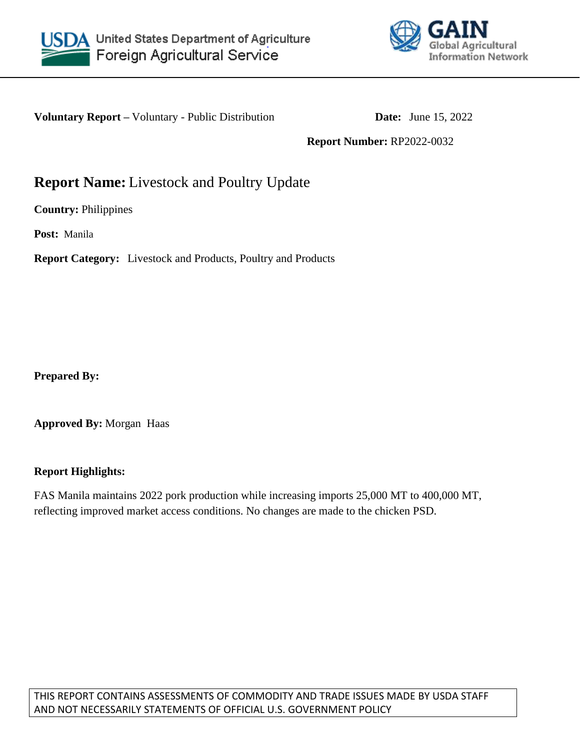



**Voluntary Report** – Voluntary - Public Distribution **Date:** June 15, 2022

**Report Number:** RP2022-0032

# **Report Name:** Livestock and Poultry Update

**Country:** Philippines

**Post:** Manila

**Report Category:** Livestock and Products, Poultry and Products

**Prepared By:**

**Approved By:** Morgan Haas

## **Report Highlights:**

FAS Manila maintains 2022 pork production while increasing imports 25,000 MT to 400,000 MT, reflecting improved market access conditions. No changes are made to the chicken PSD.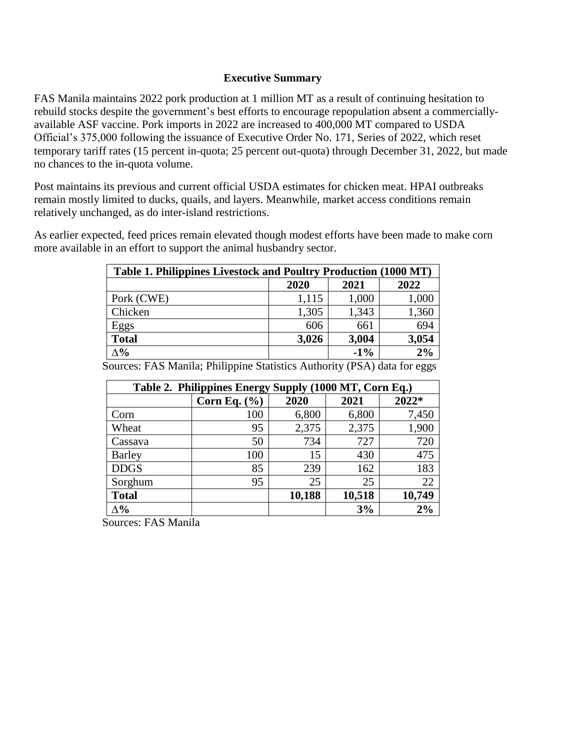#### **Executive Summary**

FAS Manila maintains 2022 pork production at 1 million MT as a result of continuing hesitation to rebuild stocks despite the government's best efforts to encourage repopulation absent a commerciallyavailable ASF vaccine. Pork imports in 2022 are increased to 400,000 MT compared to USDA Official's 375,000 following the issuance of Executive Order No. 171, Series of 2022, which reset temporary tariff rates (15 percent in-quota; 25 percent out-quota) through December 31, 2022, but made no chances to the in-quota volume.

Post maintains its previous and current official USDA estimates for chicken meat. HPAI outbreaks remain mostly limited to ducks, quails, and layers. Meanwhile, market access conditions remain relatively unchanged, as do inter-island restrictions.

As earlier expected, feed prices remain elevated though modest efforts have been made to make corn more available in an effort to support the animal husbandry sector.

| Table 1. Philippines Livestock and Poultry Production (1000 MT) |       |        |       |  |  |  |
|-----------------------------------------------------------------|-------|--------|-------|--|--|--|
|                                                                 | 2020  | 2022   |       |  |  |  |
| Pork (CWE)                                                      | 1,115 | 1,000  | 1,000 |  |  |  |
| Chicken                                                         | 1,305 | 1,343  | 1,360 |  |  |  |
| Eggs                                                            | 606   | 661    | 694   |  |  |  |
| <b>Total</b>                                                    | 3,026 | 3,004  | 3,054 |  |  |  |
| $\Delta\%$                                                      |       | $-1\%$ | 2%    |  |  |  |

**Table 2. Philippines Energy Supply (1000 MT, Corn Eq.) Corn Eq. (%) 2020 2021 2022\*** Corn 100 6,800 6,800 7,450 Wheat 1,900 Cassava | 50 734 727 720 Barley 100 15 430 475 DDGS | 85 | 239 | 162 | 183 Sorghum  $95$  25 25 22 **Total 10,188 10,518 10,749 ∆% 3% 2%**

Sources: FAS Manila; Philippine Statistics Authority (PSA) data for eggs

Sources: FAS Manila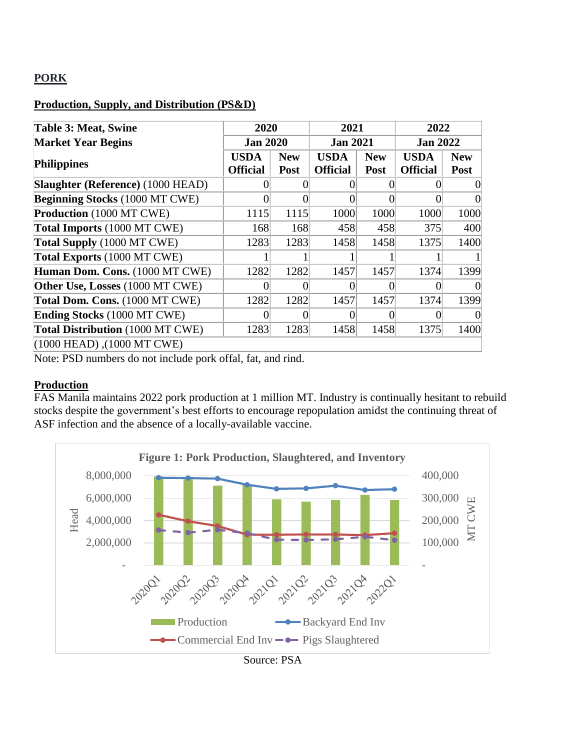# **PORK**

# **Production, Supply, and Distribution (PS&D)**

| <b>Table 3: Meat, Swine</b>                     |                 | 2020       |                 | 2021       |                 | 2022       |  |
|-------------------------------------------------|-----------------|------------|-----------------|------------|-----------------|------------|--|
| <b>Market Year Begins</b>                       | <b>Jan 2020</b> |            | <b>Jan 2021</b> |            | <b>Jan 2022</b> |            |  |
|                                                 | <b>USDA</b>     | <b>New</b> | <b>USDA</b>     | <b>New</b> | <b>USDA</b>     | <b>New</b> |  |
| <b>Philippines</b>                              | <b>Official</b> | Post       | <b>Official</b> | Post       | <b>Official</b> | Post       |  |
| <b>Slaughter (Reference) (1000 HEAD)</b>        |                 |            |                 |            |                 |            |  |
| <b>Beginning Stocks (1000 MT CWE)</b>           |                 |            |                 |            |                 |            |  |
| <b>Production</b> (1000 MT CWE)                 | 1115            | 1115       | 1000            | 1000       | 1000            | 1000       |  |
| Total Imports (1000 MT CWE)                     | 168             | 168        | 458             | 458        | 375             | 400        |  |
| Total Supply (1000 MT CWE)                      | 1283            | 1283       | 1458            | 1458       | 1375            | 1400       |  |
| Total Exports (1000 MT CWE)                     |                 |            |                 |            |                 |            |  |
| Human Dom. Cons. (1000 MT CWE)                  | 1282            | 1282       | 1457            | 1457       | 1374            | 1399       |  |
| Other Use, Losses (1000 MT CWE)                 |                 |            |                 |            |                 |            |  |
| Total Dom. Cons. (1000 MT CWE)                  | 1282            | 1282       | 1457            | 1457       | 1374            | 1399       |  |
| <b>Ending Stocks (1000 MT CWE)</b>              |                 |            |                 |            |                 |            |  |
| Total Distribution (1000 MT CWE)                | 1283            | 1283       | 1458            | 1458       | 1375            | 1400       |  |
| $(1000 \text{ HEAD})$ , $(1000 \text{ MT CWE})$ |                 |            |                 |            |                 |            |  |

Note: PSD numbers do not include pork offal, fat, and rind.

## **Production**

FAS Manila maintains 2022 pork production at 1 million MT. Industry is continually hesitant to rebuild stocks despite the government's best efforts to encourage repopulation amidst the continuing threat of ASF infection and the absence of a locally-available vaccine.



Source: PSA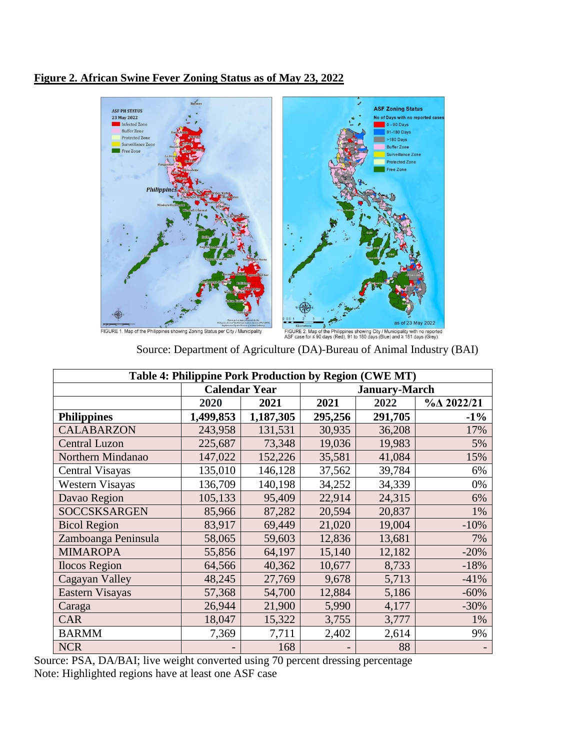# **Figure 2. African Swine Fever Zoning Status as of May 23, 2022**



FIGURE 1. Map of the Philippines showing Zoning Status per City / Municipality

salmetes<br>FIGURE 2. Map of the Philippines showing City / Municipality with no reported<br>ASF case for ≤ 90 days (Red), 91 to 180 days (Blue) and ≥ 181 days (Grey).

| Table 4: Philippine Pork Production by Region (CWE MT) |           |                      |         |                      |                          |  |  |  |
|--------------------------------------------------------|-----------|----------------------|---------|----------------------|--------------------------|--|--|--|
|                                                        |           | <b>Calendar Year</b> |         | <b>January-March</b> |                          |  |  |  |
|                                                        | 2020      | 2021                 |         | 2022                 | $\%$ $\triangle$ 2022/21 |  |  |  |
| <b>Philippines</b>                                     | 1,499,853 | 1,187,305            | 295,256 | 291,705              | $-1\%$                   |  |  |  |
| <b>CALABARZON</b>                                      | 243,958   | 131,531              | 30,935  | 36,208               | 17%                      |  |  |  |
| <b>Central Luzon</b>                                   | 225,687   | 73,348               | 19,036  | 19,983               | 5%                       |  |  |  |
| Northern Mindanao                                      | 147,022   | 152,226              | 35,581  | 41,084               | 15%                      |  |  |  |
| Central Visayas                                        | 135,010   | 146,128              | 37,562  | 39,784               | 6%                       |  |  |  |
| Western Visayas                                        | 136,709   | 140,198              | 34,252  | 34,339               | 0%                       |  |  |  |
| Davao Region                                           | 105,133   | 95,409               | 22,914  | 24,315               | 6%                       |  |  |  |
| <b>SOCCSKSARGEN</b>                                    | 85,966    | 87,282               | 20,594  | 20,837               | 1%                       |  |  |  |
| <b>Bicol Region</b>                                    | 83,917    | 69,449               | 21,020  | 19,004               | $-10%$                   |  |  |  |
| Zamboanga Peninsula                                    | 58,065    | 59,603               | 12,836  | 13,681               | 7%                       |  |  |  |
| <b>MIMAROPA</b>                                        | 55,856    | 64,197               | 15,140  | 12,182               | $-20%$                   |  |  |  |
| <b>Ilocos Region</b>                                   | 64,566    | 40,362               | 10,677  | 8,733                | $-18%$                   |  |  |  |
| Cagayan Valley                                         | 48,245    | 27,769               | 9,678   | 5,713                | $-41%$                   |  |  |  |
| Eastern Visayas                                        | 57,368    | 54,700               | 12,884  | 5,186                | $-60%$                   |  |  |  |
| Caraga                                                 | 26,944    | 21,900               | 5,990   | 4,177                | $-30%$                   |  |  |  |
| <b>CAR</b>                                             | 18,047    | 15,322               | 3,755   | 3,777                | 1%                       |  |  |  |
| <b>BARMM</b>                                           | 7,369     | 7,711                | 2,402   | 2,614                | 9%                       |  |  |  |
| <b>NCR</b>                                             |           | 168                  |         | 88                   |                          |  |  |  |

Source: Department of Agriculture (DA)-Bureau of Animal Industry (BAI)

Source: PSA, DA/BAI; live weight converted using 70 percent dressing percentage Note: Highlighted regions have at least one ASF case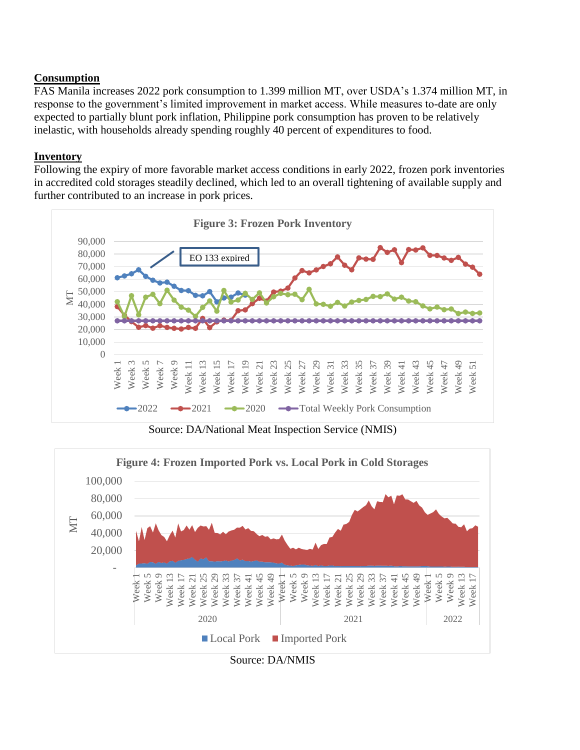# **Consumption**

FAS Manila increases 2022 pork consumption to 1.399 million MT, over USDA's 1.374 million MT, in response to the government's limited improvement in market access. While measures to-date are only expected to partially blunt pork inflation, Philippine pork consumption has proven to be relatively inelastic, with households already spending roughly 40 percent of expenditures to food.

# **Inventory**

Following the expiry of more favorable market access conditions in early 2022, frozen pork inventories in accredited cold storages steadily declined, which led to an overall tightening of available supply and further contributed to an increase in pork prices.



Source: DA/National Meat Inspection Service (NMIS)



Source: DA/NMIS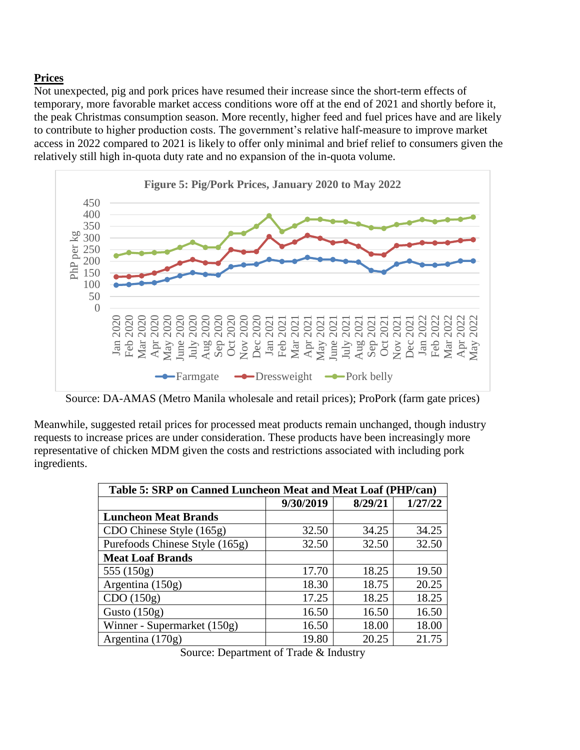# **Prices**

Not unexpected, pig and pork prices have resumed their increase since the short-term effects of temporary, more favorable market access conditions wore off at the end of 2021 and shortly before it, the peak Christmas consumption season. More recently, higher feed and fuel prices have and are likely to contribute to higher production costs. The government's relative half-measure to improve market access in 2022 compared to 2021 is likely to offer only minimal and brief relief to consumers given the relatively still high in-quota duty rate and no expansion of the in-quota volume.



Source: DA-AMAS (Metro Manila wholesale and retail prices); ProPork (farm gate prices)

Meanwhile, suggested retail prices for processed meat products remain unchanged, though industry requests to increase prices are under consideration. These products have been increasingly more representative of chicken MDM given the costs and restrictions associated with including pork ingredients.

| Table 5: SRP on Canned Luncheon Meat and Meat Loaf (PHP/can) |           |         |         |  |  |  |  |
|--------------------------------------------------------------|-----------|---------|---------|--|--|--|--|
|                                                              | 9/30/2019 | 8/29/21 | 1/27/22 |  |  |  |  |
| <b>Luncheon Meat Brands</b>                                  |           |         |         |  |  |  |  |
| CDO Chinese Style (165g)                                     | 32.50     | 34.25   | 34.25   |  |  |  |  |
| Purefoods Chinese Style (165g)                               | 32.50     | 32.50   | 32.50   |  |  |  |  |
| <b>Meat Loaf Brands</b>                                      |           |         |         |  |  |  |  |
| 555 (150g)                                                   | 17.70     | 18.25   | 19.50   |  |  |  |  |
| Argentina (150g)                                             | 18.30     | 18.75   | 20.25   |  |  |  |  |
| CDO(150g)                                                    | 17.25     | 18.25   | 18.25   |  |  |  |  |
| Gusto $(150g)$                                               | 16.50     | 16.50   | 16.50   |  |  |  |  |
| Winner - Supermarket (150g)                                  | 16.50     | 18.00   | 18.00   |  |  |  |  |
| Argentina $(170g)$                                           | 19.80     | 20.25   | 21.75   |  |  |  |  |

Source: Department of Trade & Industry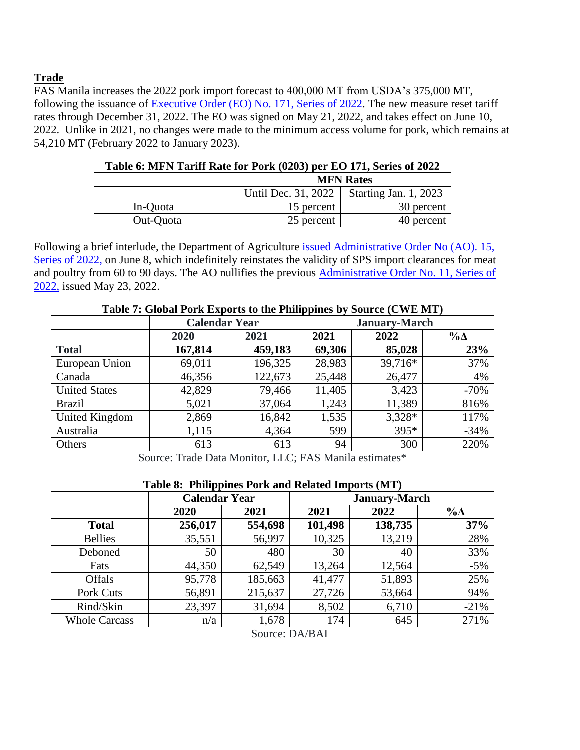# **Trade**

FAS Manila increases the 2022 pork import forecast to 400,000 MT from USDA's 375,000 MT, following the issuance of Executive Order (EO) [No. 171, Series of 2022.](https://www.officialgazette.gov.ph/2022/05/21/executive-order-no-171-s-2022/) The new measure reset tariff rates through December 31, 2022. The EO was signed on May 21, 2022, and takes effect on June 10, 2022. Unlike in 2021, no changes were made to the minimum access volume for pork, which remains at 54,210 MT (February 2022 to January 2023).

| Table 6: MFN Tariff Rate for Pork (0203) per EO 171, Series of 2022 |                     |                       |  |  |  |  |
|---------------------------------------------------------------------|---------------------|-----------------------|--|--|--|--|
|                                                                     | <b>MFN Rates</b>    |                       |  |  |  |  |
|                                                                     | Until Dec. 31, 2022 | Starting Jan. 1, 2023 |  |  |  |  |
| In-Quota                                                            | 15 percent          | 30 percent            |  |  |  |  |
| Out-Quota                                                           | 25 percent          | 40 percent            |  |  |  |  |

Following a brief interlude, the Department of Agriculture [issued Administrative Order No \(AO\). 15,](https://www.da.gov.ph/wp-content/uploads/2022/06/ao15_s2022.pdf)  [Series of 2022,](https://www.da.gov.ph/wp-content/uploads/2022/06/ao15_s2022.pdf) on June 8, which indefinitely reinstates the validity of SPS import clearances for meat and poultry from 60 to 90 days. The AO nullifies the previous [Administrative Order No. 11, Series of](https://www.da.gov.ph/wp-content/uploads/2022/05/ao11_s2022.pdf)  [2022,](https://www.da.gov.ph/wp-content/uploads/2022/05/ao11_s2022.pdf) issued May 23, 2022.

| Table 7: Global Pork Exports to the Philippines by Source (CWE MT) |              |                      |        |                      |             |  |  |
|--------------------------------------------------------------------|--------------|----------------------|--------|----------------------|-------------|--|--|
|                                                                    |              | <b>Calendar Year</b> |        | <b>January-March</b> |             |  |  |
|                                                                    | 2021<br>2020 |                      | 2021   | 2022                 | $\% \Delta$ |  |  |
| <b>Total</b>                                                       | 167,814      | 459,183              | 69,306 | 85,028               | 23%         |  |  |
| European Union                                                     | 69,011       | 196,325              | 28,983 | 39,716*              | 37%         |  |  |
| Canada                                                             | 46,356       | 122,673              | 25,448 | 26,477               | 4%          |  |  |
| <b>United States</b>                                               | 42,829       | 79,466               | 11,405 | 3,423                | $-70%$      |  |  |
| <b>Brazil</b>                                                      | 5,021        | 37,064               | 1,243  | 11,389               | 816%        |  |  |
| United Kingdom                                                     | 2,869        | 16,842               | 1,535  | $3,328*$             | 117%        |  |  |
| Australia                                                          | 1,115        | 4,364                | 599    | $395*$               | $-34%$      |  |  |
| Others                                                             | 613          | 613                  | 94     | 300                  | 220%        |  |  |

Source: Trade Data Monitor, LLC; FAS Manila estimates\*

| Table 8: Philippines Pork and Related Imports (MT) |                      |         |         |                      |             |  |  |
|----------------------------------------------------|----------------------|---------|---------|----------------------|-------------|--|--|
|                                                    | <b>Calendar Year</b> |         |         | <b>January-March</b> |             |  |  |
|                                                    | 2020                 | 2021    | 2021    | 2022                 | $\% \Delta$ |  |  |
| <b>Total</b>                                       | 256,017              | 554,698 | 101,498 | 138,735              | 37%         |  |  |
| <b>Bellies</b>                                     | 35,551               | 56,997  | 10,325  | 13,219               | 28%         |  |  |
| Deboned                                            | 50                   | 480     | 30      | 40                   | 33%         |  |  |
| Fats                                               | 44,350               | 62,549  | 13,264  | 12,564               | $-5%$       |  |  |
| <b>Offals</b>                                      | 95,778               | 185,663 | 41,477  | 51,893               | 25%         |  |  |
| Pork Cuts                                          | 56,891               | 215,637 | 27,726  | 53,664               | 94%         |  |  |
| Rind/Skin                                          | 23,397               | 31,694  | 8,502   | 6,710                | $-21%$      |  |  |
| <b>Whole Carcass</b>                               | n/a                  | 1,678   | 174     | 645                  | 271%        |  |  |
| $T \sim 1/T \sim 1T$<br>$\sim$                     |                      |         |         |                      |             |  |  |

Source: DA/BAI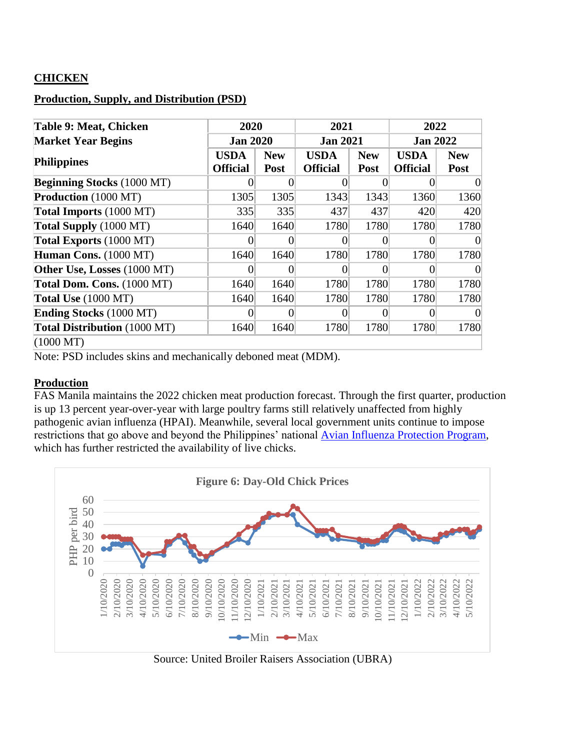# **CHICKEN**

# **Production, Supply, and Distribution (PSD)**

| Table 9: Meat, Chicken              |                                    | 2020               |                                | 2021                      |                                | 2022               |  |
|-------------------------------------|------------------------------------|--------------------|--------------------------------|---------------------------|--------------------------------|--------------------|--|
| <b>Market Year Begins</b>           | <b>Jan 2020</b><br><b>Jan 2021</b> |                    |                                | <b>Jan 2022</b>           |                                |                    |  |
| <b>Philippines</b>                  | <b>USDA</b><br><b>Official</b>     | <b>New</b><br>Post | <b>USDA</b><br><b>Official</b> | <b>New</b><br><b>Post</b> | <b>USDA</b><br><b>Official</b> | <b>New</b><br>Post |  |
| <b>Beginning Stocks (1000 MT)</b>   |                                    |                    |                                |                           |                                | 0                  |  |
| <b>Production</b> (1000 MT)         | 1305                               | 1305               | 1343                           | 1343                      | 1360                           | 1360               |  |
| Total Imports (1000 MT)             | 335                                | 335                | 437                            | 437                       | 420                            | 420                |  |
| Total Supply (1000 MT)              | 1640                               | 1640               | 1780                           | 1780                      | 1780                           | 1780               |  |
| Total Exports (1000 MT)             | 0                                  |                    |                                | 0                         | 0                              | $\Omega$           |  |
| Human Cons. (1000 MT)               | 1640                               | 1640               | 1780                           | 1780                      | 1780                           | 1780               |  |
| <b>Other Use, Losses</b> (1000 MT)  |                                    |                    |                                |                           |                                | $\theta$           |  |
| Total Dom. Cons. (1000 MT)          | 1640                               | 1640               | 1780                           | 1780                      | 1780                           | 1780               |  |
| <b>Total Use</b> (1000 MT)          | 1640                               | 1640               | 1780                           | 1780                      | 1780                           | 1780               |  |
| <b>Ending Stocks</b> (1000 MT)      |                                    |                    |                                |                           |                                | $\theta$           |  |
| <b>Total Distribution</b> (1000 MT) | 1640                               | 1640               | 1780                           | 1780                      | 1780                           | 1780               |  |
| $(1000 \text{ MT})$                 |                                    |                    |                                |                           |                                |                    |  |

Note: PSD includes skins and mechanically deboned meat (MDM).

## **Production**

FAS Manila maintains the 2022 chicken meat production forecast. Through the first quarter, production is up 13 percent year-over-year with large poultry farms still relatively unaffected from highly pathogenic avian influenza (HPAI). Meanwhile, several local government units continue to impose restrictions that go above and beyond the Philippines' national [Avian Influenza Protection Program,](https://www.bing.com/ck/a?!&&p=9adde3889c8b75f18733d5424ec379a06a7e246513041d46ed2ef957117c69fbJmltdHM9MTY1NDg1MzQwMiZpZ3VpZD1mYjBlN2QxNS1mYmJmLTRkMjUtOGIxNi1iOTA1OWQ0OTVlMDUmaW5zaWQ9NTEyNA&ptn=3&fclid=e72bd3b7-e89f-11ec-9673-1403075085c7&u=a1aHR0cHM6Ly93d3cuZmFzLnVzZGEuZ292L2RhdGEvcGhpbGlwcGluZXMtcGhpbGlwcGluZS1hdmlhbi1pbmZsdWVuemEtcHJvdGVjdGlvbi1wcm9ncmFt&ntb=1) which has further restricted the availability of live chicks.



Source: United Broiler Raisers Association (UBRA)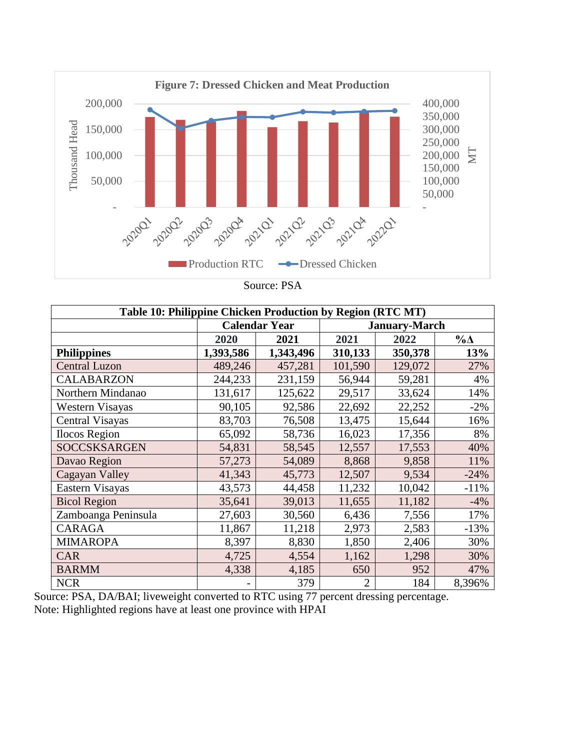

Source: PSA

| Table 10: Philippine Chicken Production by Region (RTC MT) |           |                      |         |                      |             |  |  |  |
|------------------------------------------------------------|-----------|----------------------|---------|----------------------|-------------|--|--|--|
|                                                            |           | <b>Calendar Year</b> |         | <b>January-March</b> |             |  |  |  |
|                                                            | 2020      | 2021                 | 2021    | 2022                 | $\% \Delta$ |  |  |  |
| <b>Philippines</b>                                         | 1,393,586 | 1,343,496            | 310,133 | 350,378              | 13%         |  |  |  |
| <b>Central Luzon</b>                                       | 489,246   | 457,281              | 101,590 | 129,072              | 27%         |  |  |  |
| <b>CALABARZON</b>                                          | 244,233   | 231,159              | 56,944  | 59,281               | 4%          |  |  |  |
| Northern Mindanao                                          | 131,617   | 125,622              | 29,517  | 33,624               | 14%         |  |  |  |
| Western Visayas                                            | 90,105    | 92,586               | 22,692  | 22,252               | $-2%$       |  |  |  |
| Central Visayas                                            | 83,703    | 76,508               | 13,475  | 15,644               | 16%         |  |  |  |
| <b>Ilocos Region</b>                                       | 65,092    | 58,736               | 16,023  | 17,356               | 8%          |  |  |  |
| <b>SOCCSKSARGEN</b>                                        | 54,831    | 58,545               | 12,557  | 17,553               | 40%         |  |  |  |
| Davao Region                                               | 57,273    | 54,089               | 8,868   | 9,858                | 11%         |  |  |  |
| Cagayan Valley                                             | 41,343    | 45,773               | 12,507  | 9,534                | $-24%$      |  |  |  |
| Eastern Visayas                                            | 43,573    | 44,458               | 11,232  | 10,042               | $-11%$      |  |  |  |
| <b>Bicol Region</b>                                        | 35,641    | 39,013               | 11,655  | 11,182               | $-4%$       |  |  |  |
| Zamboanga Peninsula                                        | 27,603    | 30,560               | 6,436   | 7,556                | 17%         |  |  |  |
| <b>CARAGA</b>                                              | 11,867    | 11,218               | 2,973   | 2,583                | $-13%$      |  |  |  |
| <b>MIMAROPA</b>                                            | 8,397     | 8,830                | 1,850   | 2,406                | 30%         |  |  |  |
| <b>CAR</b>                                                 | 4,725     | 4,554                | 1,162   | 1,298                | 30%         |  |  |  |
| <b>BARMM</b>                                               | 4,338     | 4,185                | 650     | 952                  | 47%         |  |  |  |
| <b>NCR</b>                                                 |           | 379                  | 2       | 184                  | 8,396%      |  |  |  |

Source: PSA, DA/BAI; liveweight converted to RTC using 77 percent dressing percentage. Note: Highlighted regions have at least one province with HPAI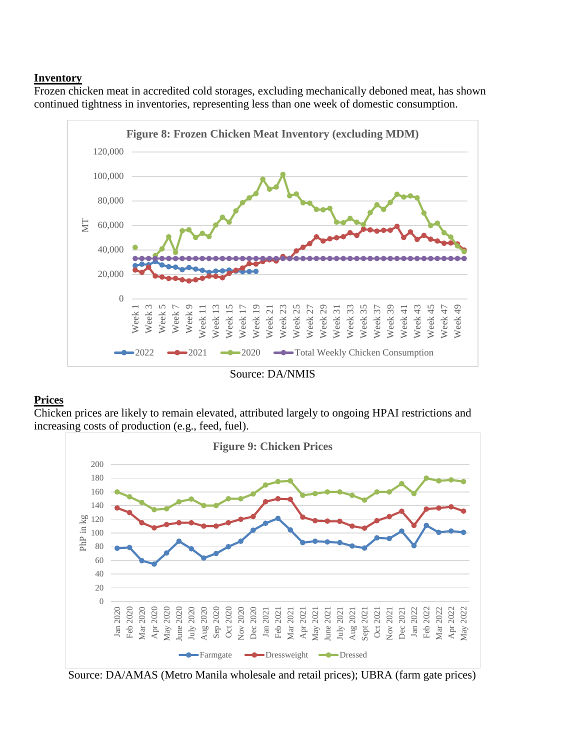#### **Inventory**

Frozen chicken meat in accredited cold storages, excluding mechanically deboned meat, has shown continued tightness in inventories, representing less than one week of domestic consumption.



Source: DA/NMIS

#### **Prices**

Chicken prices are likely to remain elevated, attributed largely to ongoing HPAI restrictions and increasing costs of production (e.g., feed, fuel).



Source: DA/AMAS (Metro Manila wholesale and retail prices); UBRA (farm gate prices)